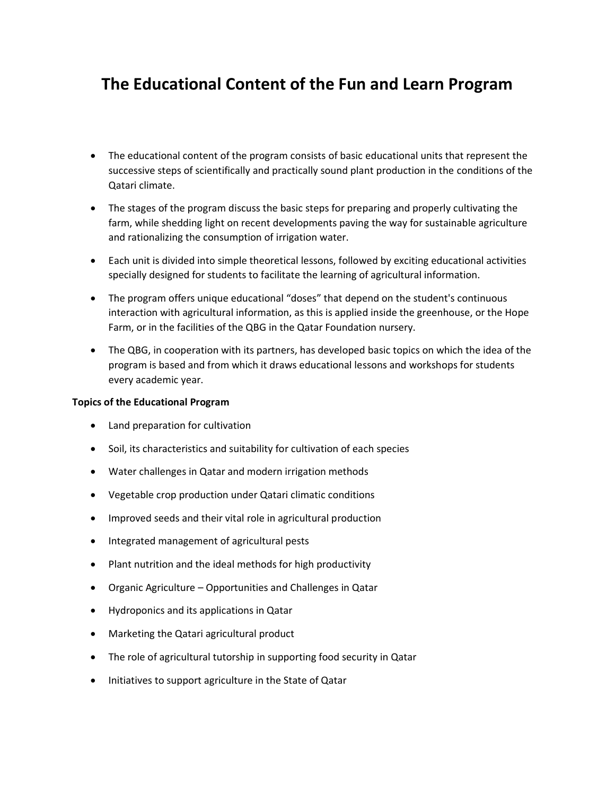# **The Educational Content of the Fun and Learn Program**

- The educational content of the program consists of basic educational units that represent the successive steps of scientifically and practically sound plant production in the conditions of the Qatari climate.
- The stages of the program discuss the basic steps for preparing and properly cultivating the farm, while shedding light on recent developments paving the way for sustainable agriculture and rationalizing the consumption of irrigation water.
- Each unit is divided into simple theoretical lessons, followed by exciting educational activities specially designed for students to facilitate the learning of agricultural information.
- The program offers unique educational "doses" that depend on the student's continuous interaction with agricultural information, as this is applied inside the greenhouse, or the Hope Farm, or in the facilities of the QBG in the Qatar Foundation nursery.
- The QBG, in cooperation with its partners, has developed basic topics on which the idea of the program is based and from which it draws educational lessons and workshops for students every academic year.

#### **Topics of the Educational Program**

- Land preparation for cultivation
- Soil, its characteristics and suitability for cultivation of each species
- Water challenges in Qatar and modern irrigation methods
- Vegetable crop production under Qatari climatic conditions
- Improved seeds and their vital role in agricultural production
- Integrated management of agricultural pests
- Plant nutrition and the ideal methods for high productivity
- Organic Agriculture Opportunities and Challenges in Qatar
- Hydroponics and its applications in Qatar
- Marketing the Qatari agricultural product
- The role of agricultural tutorship in supporting food security in Qatar
- Initiatives to support agriculture in the State of Qatar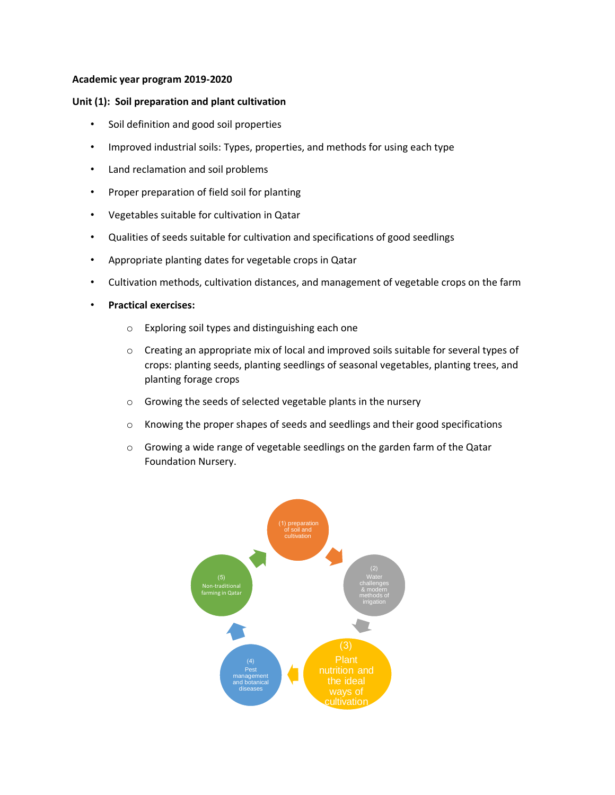#### **Academic year program 2019-2020**

### **Unit (1): Soil preparation and plant cultivation**

- Soil definition and good soil properties
- Improved industrial soils: Types, properties, and methods for using each type
- Land reclamation and soil problems
- Proper preparation of field soil for planting
- Vegetables suitable for cultivation in Qatar
- Qualities of seeds suitable for cultivation and specifications of good seedlings
- Appropriate planting dates for vegetable crops in Qatar
- Cultivation methods, cultivation distances, and management of vegetable crops on the farm
- **Practical exercises:** 
	- o Exploring soil types and distinguishing each one
	- o Creating an appropriate mix of local and improved soils suitable for several types of crops: planting seeds, planting seedlings of seasonal vegetables, planting trees, and planting forage crops
	- o Growing the seeds of selected vegetable plants in the nursery
	- o Knowing the proper shapes of seeds and seedlings and their good specifications
	- o Growing a wide range of vegetable seedlings on the garden farm of the Qatar Foundation Nursery.

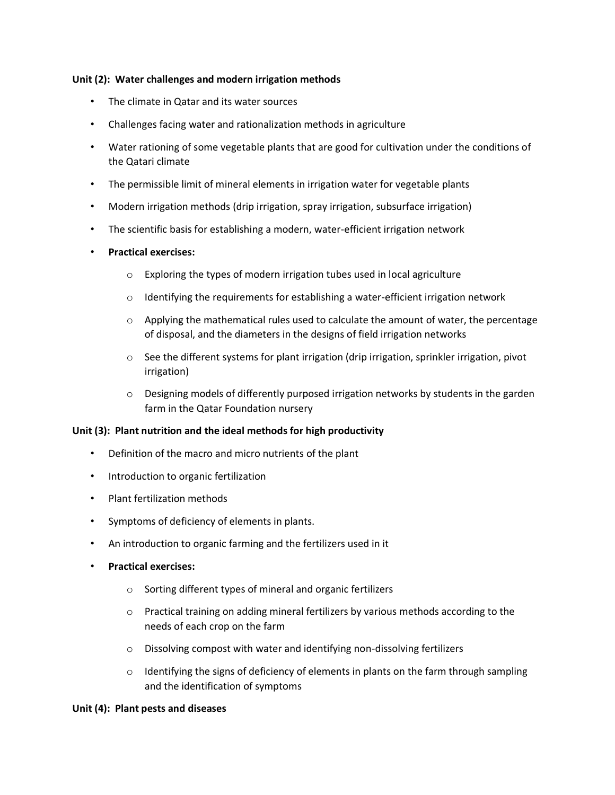## **Unit (2): Water challenges and modern irrigation methods**

- The climate in Qatar and its water sources
- Challenges facing water and rationalization methods in agriculture
- Water rationing of some vegetable plants that are good for cultivation under the conditions of the Qatari climate
- The permissible limit of mineral elements in irrigation water for vegetable plants
- Modern irrigation methods (drip irrigation, spray irrigation, subsurface irrigation)
- The scientific basis for establishing a modern, water-efficient irrigation network
- **Practical exercises:**
	- o Exploring the types of modern irrigation tubes used in local agriculture
	- $\circ$  Identifying the requirements for establishing a water-efficient irrigation network
	- $\circ$  Applying the mathematical rules used to calculate the amount of water, the percentage of disposal, and the diameters in the designs of field irrigation networks
	- $\circ$  See the different systems for plant irrigation (drip irrigation, sprinkler irrigation, pivot irrigation)
	- $\circ$  Designing models of differently purposed irrigation networks by students in the garden farm in the Qatar Foundation nursery

## **Unit (3): Plant nutrition and the ideal methods for high productivity**

- Definition of the macro and micro nutrients of the plant
- Introduction to organic fertilization
- Plant fertilization methods
- Symptoms of deficiency of elements in plants.
- An introduction to organic farming and the fertilizers used in it
- **Practical exercises:**
	- o Sorting different types of mineral and organic fertilizers
	- $\circ$  Practical training on adding mineral fertilizers by various methods according to the needs of each crop on the farm
	- $\circ$  Dissolving compost with water and identifying non-dissolving fertilizers
	- $\circ$  Identifying the signs of deficiency of elements in plants on the farm through sampling and the identification of symptoms

#### **Unit (4): Plant pests and diseases**